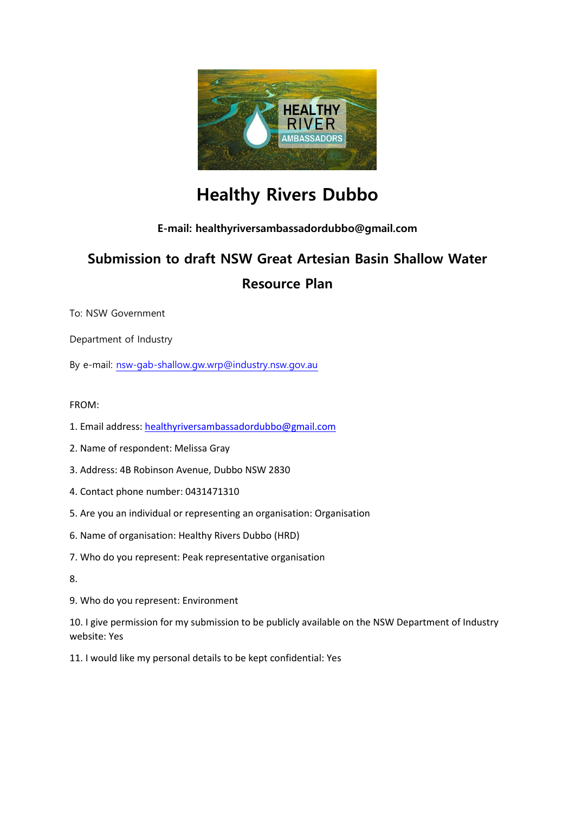

# **Healthy Rivers Dubbo**

# **E-mail: healthyriversambassadordubbo@gmail.com**

# **Submission to draft NSW Great Artesian Basin Shallow Water Resource Plan**

To: NSW Government

Department of Industry

By e-mail: [nsw-gab-shallow.gw.wrp@industry.nsw.gov.au](mailto:nsw-gab-shallow.gw.wrp@industry.nsw.gov.au)

# FROM:

- 1. Email address: [healthyriversambassadordubbo@gmail.com](mailto:healthyriversambassadordubbo@gmail.com)
- 2. Name of respondent: Melissa Gray
- 3. Address: 4B Robinson Avenue, Dubbo NSW 2830
- 4. Contact phone number: 0431471310
- 5. Are you an individual or representing an organisation: Organisation
- 6. Name of organisation: Healthy Rivers Dubbo (HRD)
- 7. Who do you represent: Peak representative organisation
- 8.
- 9. Who do you represent: Environment

10. I give permission for my submission to be publicly available on the NSW Department of Industry website: Yes

11. I would like my personal details to be kept confidential: Yes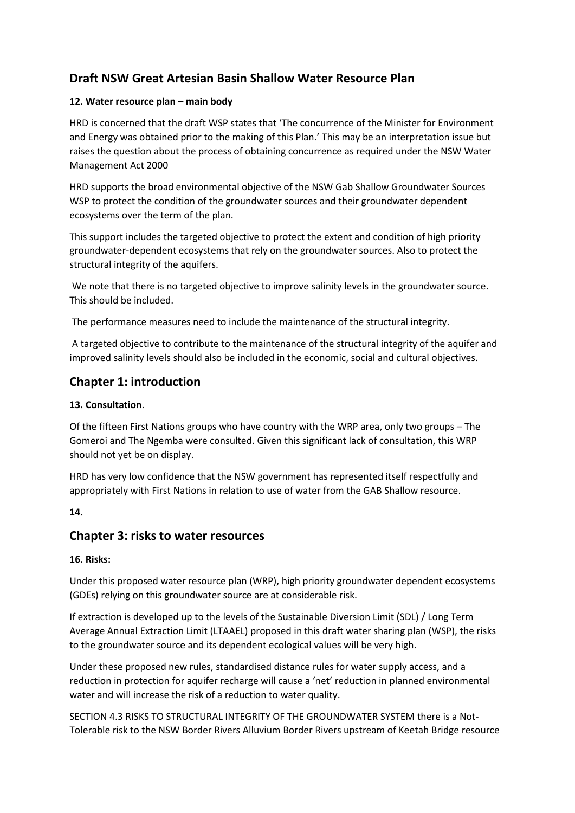# **Draft NSW Great Artesian Basin Shallow Water Resource Plan**

## **12. Water resource plan – main body**

HRD is concerned that the draft WSP states that 'The concurrence of the Minister for Environment and Energy was obtained prior to the making of this Plan.' This may be an interpretation issue but raises the question about the process of obtaining concurrence as required under the NSW Water Management Act 2000

HRD supports the broad environmental objective of the NSW Gab Shallow Groundwater Sources WSP to protect the condition of the groundwater sources and their groundwater dependent ecosystems over the term of the plan.

This support includes the targeted objective to protect the extent and condition of high priority groundwater-dependent ecosystems that rely on the groundwater sources. Also to protect the structural integrity of the aquifers.

We note that there is no targeted objective to improve salinity levels in the groundwater source. This should be included.

The performance measures need to include the maintenance of the structural integrity.

A targeted objective to contribute to the maintenance of the structural integrity of the aquifer and improved salinity levels should also be included in the economic, social and cultural objectives.

# **Chapter 1: introduction**

# **13. Consultation**.

Of the fifteen First Nations groups who have country with the WRP area, only two groups – The Gomeroi and The Ngemba were consulted. Given this significant lack of consultation, this WRP should not yet be on display.

HRD has very low confidence that the NSW government has represented itself respectfully and appropriately with First Nations in relation to use of water from the GAB Shallow resource.

## **14.**

# **Chapter 3: risks to water resources**

## **16. Risks:**

Under this proposed water resource plan (WRP), high priority groundwater dependent ecosystems (GDEs) relying on this groundwater source are at considerable risk.

If extraction is developed up to the levels of the Sustainable Diversion Limit (SDL) / Long Term Average Annual Extraction Limit (LTAAEL) proposed in this draft water sharing plan (WSP), the risks to the groundwater source and its dependent ecological values will be very high.

Under these proposed new rules, standardised distance rules for water supply access, and a reduction in protection for aquifer recharge will cause a 'net' reduction in planned environmental water and will increase the risk of a reduction to water quality.

SECTION 4.3 RISKS TO STRUCTURAL INTEGRITY OF THE GROUNDWATER SYSTEM there is a Not-Tolerable risk to the NSW Border Rivers Alluvium Border Rivers upstream of Keetah Bridge resource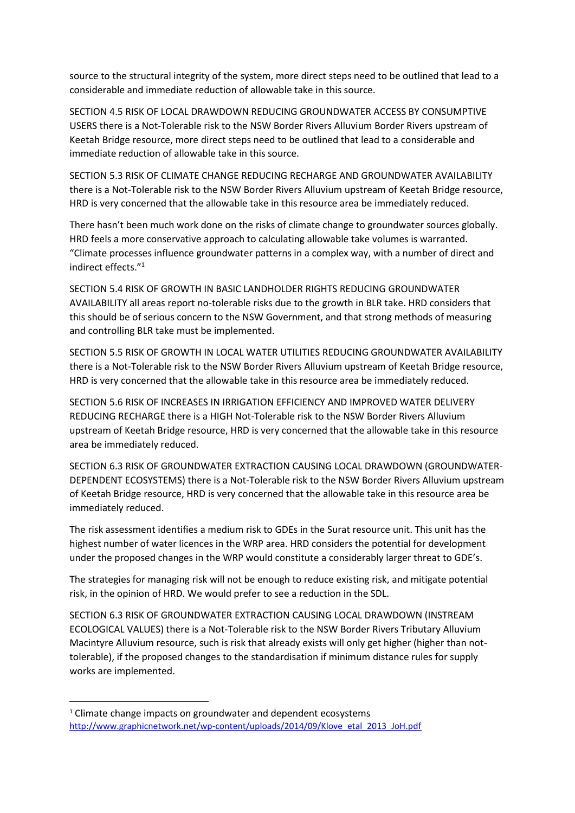source to the structural integrity of the system, more direct steps need to be outlined that lead to a considerable and immediate reduction of allowable take in this source.

SECTION 4.5 RISK OF LOCAL DRAWDOWN REDUCING GROUNDWATER ACCESS BY CONSUMPTIVE USERS there is a Not-Tolerable risk to the NSW Border Rivers Alluvium Border Rivers upstream of Keetah Bridge resource, more direct steps need to be outlined that lead to a considerable and immediate reduction of allowable take in this source.

SECTION 5.3 RISK OF CLIMATE CHANGE REDUCING RECHARGE AND GROUNDWATER AVAILABILITY there is a Not-Tolerable risk to the NSW Border Rivers Alluvium upstream of Keetah Bridge resource, HRD is very concerned that the allowable take in this resource area be immediately reduced.

There hasn't been much work done on the risks of climate change to groundwater sources globally. HRD feels a more conservative approach to calculating allowable take volumes is warranted. "Climate processes influence groundwater patterns in a complex way, with a number of direct and indirect effects." 1

SECTION 5.4 RISK OF GROWTH IN BASIC LANDHOLDER RIGHTS REDUCING GROUNDWATER AVAILABILITY all areas report no-tolerable risks due to the growth in BLR take. HRD considers that this should be of serious concern to the NSW Government, and that strong methods of measuring and controlling BLR take must be implemented.

SECTION 5.5 RISK OF GROWTH IN LOCAL WATER UTILITIES REDUCING GROUNDWATER AVAILABILITY there is a Not-Tolerable risk to the NSW Border Rivers Alluvium upstream of Keetah Bridge resource, HRD is very concerned that the allowable take in this resource area be immediately reduced.

SECTION 5.6 RISK OF INCREASES IN IRRIGATION EFFICIENCY AND IMPROVED WATER DELIVERY REDUCING RECHARGE there is a HIGH Not-Tolerable risk to the NSW Border Rivers Alluvium upstream of Keetah Bridge resource, HRD is very concerned that the allowable take in this resource area be immediately reduced.

SECTION 6.3 RISK OF GROUNDWATER EXTRACTION CAUSING LOCAL DRAWDOWN (GROUNDWATER-DEPENDENT ECOSYSTEMS) there is a Not-Tolerable risk to the NSW Border Rivers Alluvium upstream of Keetah Bridge resource, HRD is very concerned that the allowable take in this resource area be immediately reduced.

The risk assessment identifies a medium risk to GDEs in the Surat resource unit. This unit has the highest number of water licences in the WRP area. HRD considers the potential for development under the proposed changes in the WRP would constitute a considerably larger threat to GDE's.

The strategies for managing risk will not be enough to reduce existing risk, and mitigate potential risk, in the opinion of HRD. We would prefer to see a reduction in the SDL.

SECTION 6.3 RISK OF GROUNDWATER EXTRACTION CAUSING LOCAL DRAWDOWN (INSTREAM ECOLOGICAL VALUES) there is a Not-Tolerable risk to the NSW Border Rivers Tributary Alluvium Macintyre Alluvium resource, such is risk that already exists will only get higher (higher than nottolerable), if the proposed changes to the standardisation if minimum distance rules for supply works are implemented.

 $\overline{a}$ 

<sup>&</sup>lt;sup>1</sup> Climate change impacts on groundwater and dependent ecosystems [http://www.graphicnetwork.net/wp-content/uploads/2014/09/Klove\\_etal\\_2013\\_JoH.pdf](http://www.graphicnetwork.net/wp-content/uploads/2014/09/Klove_etal_2013_JoH.pdf)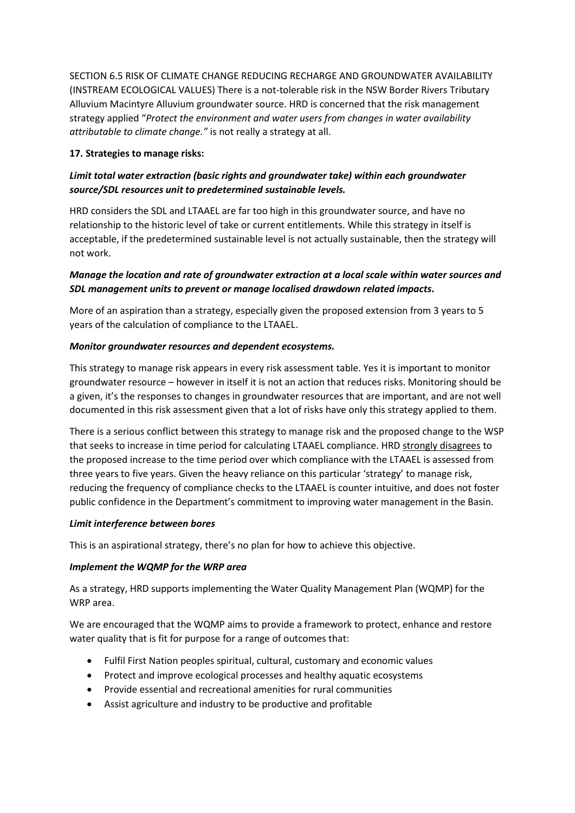SECTION 6.5 RISK OF CLIMATE CHANGE REDUCING RECHARGE AND GROUNDWATER AVAILABILITY (INSTREAM ECOLOGICAL VALUES) There is a not-tolerable risk in the NSW Border Rivers Tributary Alluvium Macintyre Alluvium groundwater source. HRD is concerned that the risk management strategy applied "*Protect the environment and water users from changes in water availability attributable to climate change."* is not really a strategy at all.

## **17. Strategies to manage risks:**

# *Limit total water extraction (basic rights and groundwater take) within each groundwater source/SDL resources unit to predetermined sustainable levels.*

HRD considers the SDL and LTAAEL are far too high in this groundwater source, and have no relationship to the historic level of take or current entitlements. While this strategy in itself is acceptable, if the predetermined sustainable level is not actually sustainable, then the strategy will not work.

## *Manage the location and rate of groundwater extraction at a local scale within water sources and SDL management units to prevent or manage localised drawdown related impacts.*

More of an aspiration than a strategy, especially given the proposed extension from 3 years to 5 years of the calculation of compliance to the LTAAEL.

#### *Monitor groundwater resources and dependent ecosystems.*

This strategy to manage risk appears in every risk assessment table. Yes it is important to monitor groundwater resource – however in itself it is not an action that reduces risks. Monitoring should be a given, it's the responses to changes in groundwater resources that are important, and are not well documented in this risk assessment given that a lot of risks have only this strategy applied to them.

There is a serious conflict between this strategy to manage risk and the proposed change to the WSP that seeks to increase in time period for calculating LTAAEL compliance. HRD strongly disagrees to the proposed increase to the time period over which compliance with the LTAAEL is assessed from three years to five years. Given the heavy reliance on this particular 'strategy' to manage risk, reducing the frequency of compliance checks to the LTAAEL is counter intuitive, and does not foster public confidence in the Department's commitment to improving water management in the Basin.

#### *Limit interference between bores*

This is an aspirational strategy, there's no plan for how to achieve this objective.

## *Implement the WQMP for the WRP area*

As a strategy, HRD supports implementing the Water Quality Management Plan (WQMP) for the WRP area.

We are encouraged that the WQMP aims to provide a framework to protect, enhance and restore water quality that is fit for purpose for a range of outcomes that:

- Fulfil First Nation peoples spiritual, cultural, customary and economic values
- Protect and improve ecological processes and healthy aquatic ecosystems
- Provide essential and recreational amenities for rural communities
- Assist agriculture and industry to be productive and profitable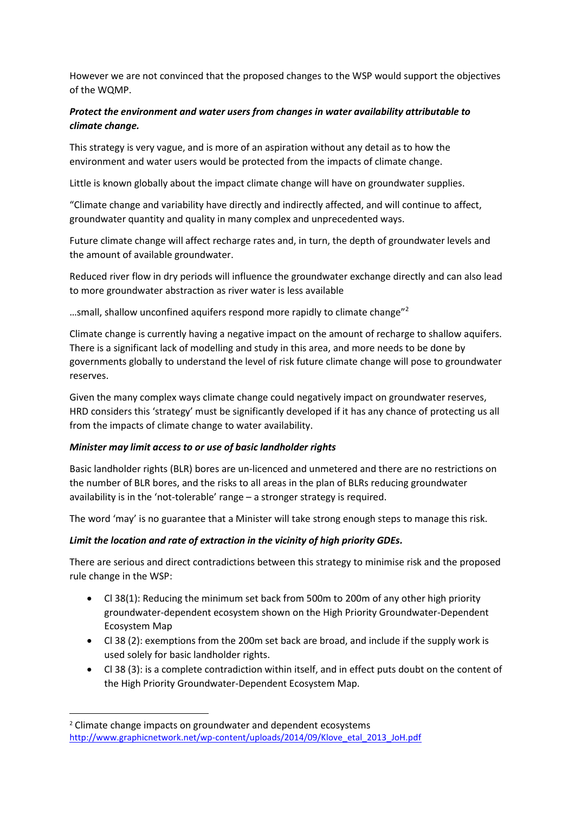However we are not convinced that the proposed changes to the WSP would support the objectives of the WQMP.

# *Protect the environment and water users from changes in water availability attributable to climate change.*

This strategy is very vague, and is more of an aspiration without any detail as to how the environment and water users would be protected from the impacts of climate change.

Little is known globally about the impact climate change will have on groundwater supplies.

"Climate change and variability have directly and indirectly affected, and will continue to affect, groundwater quantity and quality in many complex and unprecedented ways.

Future climate change will affect recharge rates and, in turn, the depth of groundwater levels and the amount of available groundwater.

Reduced river flow in dry periods will influence the groundwater exchange directly and can also lead to more groundwater abstraction as river water is less available

…small, shallow unconfined aquifers respond more rapidly to climate change"<sup>2</sup>

Climate change is currently having a negative impact on the amount of recharge to shallow aquifers. There is a significant lack of modelling and study in this area, and more needs to be done by governments globally to understand the level of risk future climate change will pose to groundwater reserves.

Given the many complex ways climate change could negatively impact on groundwater reserves, HRD considers this 'strategy' must be significantly developed if it has any chance of protecting us all from the impacts of climate change to water availability.

## *Minister may limit access to or use of basic landholder rights*

Basic landholder rights (BLR) bores are un-licenced and unmetered and there are no restrictions on the number of BLR bores, and the risks to all areas in the plan of BLRs reducing groundwater availability is in the 'not-tolerable' range – a stronger strategy is required.

The word 'may' is no guarantee that a Minister will take strong enough steps to manage this risk.

## *Limit the location and rate of extraction in the vicinity of high priority GDEs.*

There are serious and direct contradictions between this strategy to minimise risk and the proposed rule change in the WSP:

- Cl 38(1): Reducing the minimum set back from 500m to 200m of any other high priority groundwater-dependent ecosystem shown on the High Priority Groundwater-Dependent Ecosystem Map
- Cl 38 (2): exemptions from the 200m set back are broad, and include if the supply work is used solely for basic landholder rights.
- Cl 38 (3): is a complete contradiction within itself, and in effect puts doubt on the content of the High Priority Groundwater-Dependent Ecosystem Map.

**.** 

<sup>2</sup> Climate change impacts on groundwater and dependent ecosystems [http://www.graphicnetwork.net/wp-content/uploads/2014/09/Klove\\_etal\\_2013\\_JoH.pdf](http://www.graphicnetwork.net/wp-content/uploads/2014/09/Klove_etal_2013_JoH.pdf)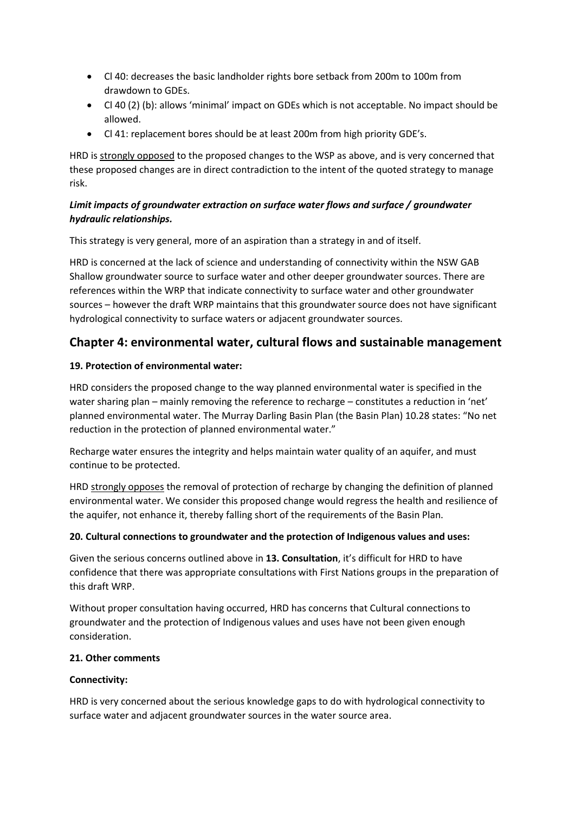- Cl 40: decreases the basic landholder rights bore setback from 200m to 100m from drawdown to GDEs.
- Cl 40 (2) (b): allows 'minimal' impact on GDEs which is not acceptable. No impact should be allowed.
- Cl 41: replacement bores should be at least 200m from high priority GDE's.

HRD is strongly opposed to the proposed changes to the WSP as above, and is very concerned that these proposed changes are in direct contradiction to the intent of the quoted strategy to manage risk.

# *Limit impacts of groundwater extraction on surface water flows and surface / groundwater hydraulic relationships.*

This strategy is very general, more of an aspiration than a strategy in and of itself.

HRD is concerned at the lack of science and understanding of connectivity within the NSW GAB Shallow groundwater source to surface water and other deeper groundwater sources. There are references within the WRP that indicate connectivity to surface water and other groundwater sources – however the draft WRP maintains that this groundwater source does not have significant hydrological connectivity to surface waters or adjacent groundwater sources.

# **Chapter 4: environmental water, cultural flows and sustainable management**

# **19. Protection of environmental water:**

HRD considers the proposed change to the way planned environmental water is specified in the water sharing plan – mainly removing the reference to recharge – constitutes a reduction in 'net' planned environmental water. The Murray Darling Basin Plan (the Basin Plan) 10.28 states: "No net reduction in the protection of planned environmental water."

Recharge water ensures the integrity and helps maintain water quality of an aquifer, and must continue to be protected.

HRD strongly opposes the removal of protection of recharge by changing the definition of planned environmental water. We consider this proposed change would regress the health and resilience of the aquifer, not enhance it, thereby falling short of the requirements of the Basin Plan.

## **20. Cultural connections to groundwater and the protection of Indigenous values and uses:**

Given the serious concerns outlined above in **13. Consultation**, it's difficult for HRD to have confidence that there was appropriate consultations with First Nations groups in the preparation of this draft WRP.

Without proper consultation having occurred, HRD has concerns that Cultural connections to groundwater and the protection of Indigenous values and uses have not been given enough consideration.

## **21. Other comments**

## **Connectivity:**

HRD is very concerned about the serious knowledge gaps to do with hydrological connectivity to surface water and adjacent groundwater sources in the water source area.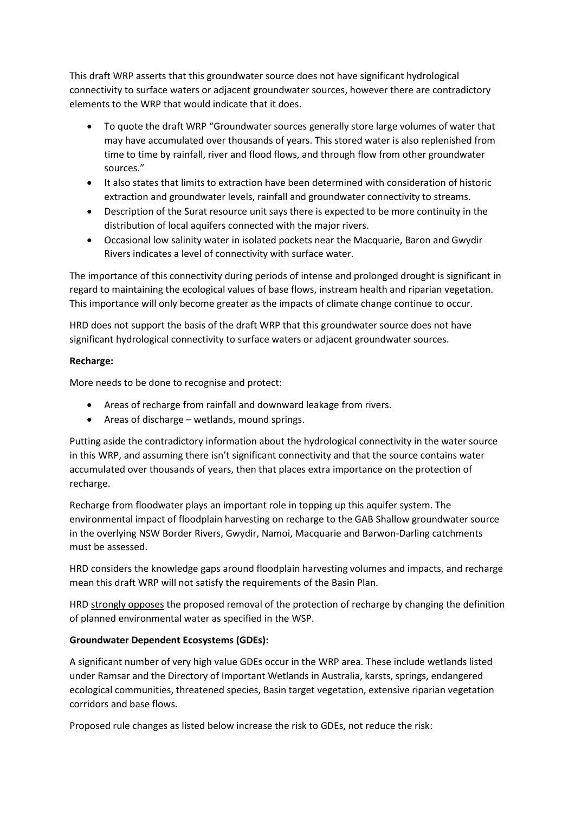This draft WRP asserts that this groundwater source does not have significant hydrological connectivity to surface waters or adjacent groundwater sources, however there are contradictory elements to the WRP that would indicate that it does.

- To quote the draft WRP "Groundwater sources generally store large volumes of water that may have accumulated over thousands of years. This stored water is also replenished from time to time by rainfall, river and flood flows, and through flow from other groundwater sources."
- It also states that limits to extraction have been determined with consideration of historic extraction and groundwater levels, rainfall and groundwater connectivity to streams.
- Description of the Surat resource unit says there is expected to be more continuity in the distribution of local aquifers connected with the major rivers.
- Occasional low salinity water in isolated pockets near the Macquarie, Baron and Gwydir Rivers indicates a level of connectivity with surface water.

The importance of this connectivity during periods of intense and prolonged drought is significant in regard to maintaining the ecological values of base flows, instream health and riparian vegetation. This importance will only become greater as the impacts of climate change continue to occur.

HRD does not support the basis of the draft WRP that this groundwater source does not have significant hydrological connectivity to surface waters or adjacent groundwater sources.

## **Recharge:**

More needs to be done to recognise and protect:

- Areas of recharge from rainfall and downward leakage from rivers.
- Areas of discharge wetlands, mound springs.

Putting aside the contradictory information about the hydrological connectivity in the water source in this WRP, and assuming there isn't significant connectivity and that the source contains water accumulated over thousands of years, then that places extra importance on the protection of recharge.

Recharge from floodwater plays an important role in topping up this aquifer system. The environmental impact of floodplain harvesting on recharge to the GAB Shallow groundwater source in the overlying NSW Border Rivers, Gwydir, Namoi, Macquarie and Barwon-Darling catchments must be assessed.

HRD considers the knowledge gaps around floodplain harvesting volumes and impacts, and recharge mean this draft WRP will not satisfy the requirements of the Basin Plan.

HRD strongly opposes the proposed removal of the protection of recharge by changing the definition of planned environmental water as specified in the WSP.

## **Groundwater Dependent Ecosystems (GDEs):**

A significant number of very high value GDEs occur in the WRP area. These include wetlands listed under Ramsar and the Directory of Important Wetlands in Australia, karsts, springs, endangered ecological communities, threatened species, Basin target vegetation, extensive riparian vegetation corridors and base flows.

Proposed rule changes as listed below increase the risk to GDEs, not reduce the risk: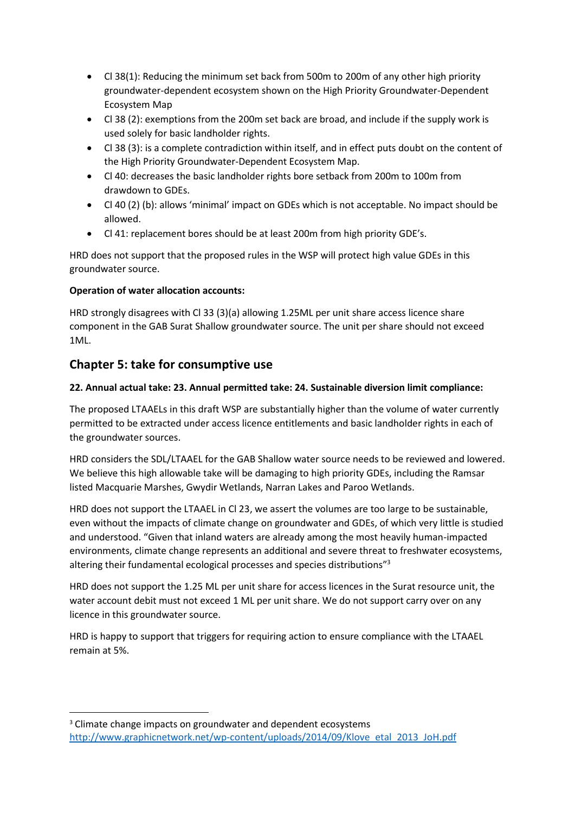- Cl 38(1): Reducing the minimum set back from 500m to 200m of any other high priority groundwater-dependent ecosystem shown on the High Priority Groundwater-Dependent Ecosystem Map
- Cl 38 (2): exemptions from the 200m set back are broad, and include if the supply work is used solely for basic landholder rights.
- Cl 38 (3): is a complete contradiction within itself, and in effect puts doubt on the content of the High Priority Groundwater-Dependent Ecosystem Map.
- Cl 40: decreases the basic landholder rights bore setback from 200m to 100m from drawdown to GDEs.
- Cl 40 (2) (b): allows 'minimal' impact on GDEs which is not acceptable. No impact should be allowed.
- Cl 41: replacement bores should be at least 200m from high priority GDE's.

HRD does not support that the proposed rules in the WSP will protect high value GDEs in this groundwater source.

# **Operation of water allocation accounts:**

HRD strongly disagrees with Cl 33 (3)(a) allowing 1.25ML per unit share access licence share component in the GAB Surat Shallow groundwater source. The unit per share should not exceed 1ML.

# **Chapter 5: take for consumptive use**

**.** 

# **22. Annual actual take: 23. Annual permitted take: 24. Sustainable diversion limit compliance:**

The proposed LTAAELs in this draft WSP are substantially higher than the volume of water currently permitted to be extracted under access licence entitlements and basic landholder rights in each of the groundwater sources.

HRD considers the SDL/LTAAEL for the GAB Shallow water source needs to be reviewed and lowered. We believe this high allowable take will be damaging to high priority GDEs, including the Ramsar listed Macquarie Marshes, Gwydir Wetlands, Narran Lakes and Paroo Wetlands.

HRD does not support the LTAAEL in Cl 23, we assert the volumes are too large to be sustainable, even without the impacts of climate change on groundwater and GDEs, of which very little is studied and understood. "Given that inland waters are already among the most heavily human-impacted environments, climate change represents an additional and severe threat to freshwater ecosystems, altering their fundamental ecological processes and species distributions"<sup>3</sup>

HRD does not support the 1.25 ML per unit share for access licences in the Surat resource unit, the water account debit must not exceed 1 ML per unit share. We do not support carry over on any licence in this groundwater source.

HRD is happy to support that triggers for requiring action to ensure compliance with the LTAAEL remain at 5%.

<sup>&</sup>lt;sup>3</sup> Climate change impacts on groundwater and dependent ecosystems [http://www.graphicnetwork.net/wp-content/uploads/2014/09/Klove\\_etal\\_2013\\_JoH.pdf](http://www.graphicnetwork.net/wp-content/uploads/2014/09/Klove_etal_2013_JoH.pdf)